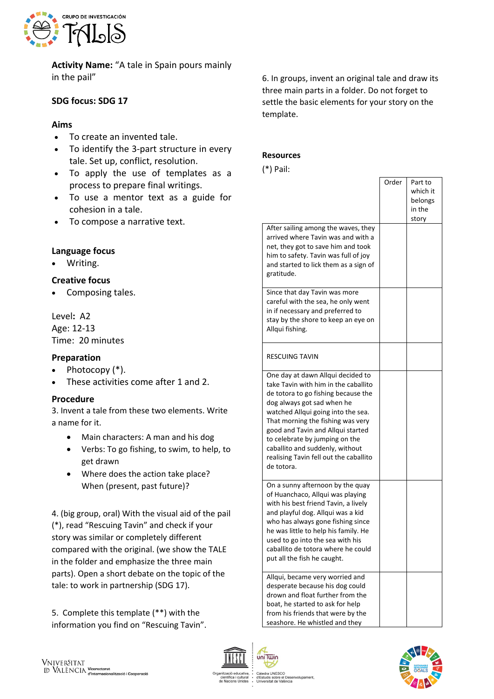

**Activity Name:** "A tale in Spain pours mainly in the pail"

# **SDG focus: SDG 17**

### **Aims**

- To create an invented tale.
- To identify the 3-part structure in every tale. Set up, conflict, resolution.
- To apply the use of templates as a process to prepare final writings.
- To use a mentor text as a guide for cohesion in a tale.
- To compose a narrative text.

### **Language focus**

• Writing.

### **Creative focus**

• Composing tales.

Level**:** A2

Age: 12-13 Time: 20 minutes

### **Preparation**

- Photocopy (\*).
- These activities come after 1 and 2.

### **Procedure**

3. Invent a tale from these two elements. Write a name for it.

- Main characters: A man and his dog
- Verbs: To go fishing, to swim, to help, to get drawn
- Where does the action take place? When (present, past future)?

4. (big group, oral) With the visual aid of the pail (\*), read "Rescuing Tavin" and check if your story was similar or completely different compared with the original. (we show the TALE in the folder and emphasize the three main parts). Open a short debate on the topic of the tale: to work in partnership (SDG 17).

5. Complete this template (\*\*) with the information you find on "Rescuing Tavin". 6. In groups, invent an original tale and draw its three main parts in a folder. Do not forget to settle the basic elements for your story on the template.

#### **Resources**

(\*) Pail:

| After sailing among the waves, they<br>arrived where Tavin was and with a<br>net, they got to save him and took<br>him to safety. Tavin was full of joy<br>and started to lick them as a sign of<br>gratitude.                                                                                                                                                                              | Order | Part to<br>which it<br>belongs<br>in the<br>story |
|---------------------------------------------------------------------------------------------------------------------------------------------------------------------------------------------------------------------------------------------------------------------------------------------------------------------------------------------------------------------------------------------|-------|---------------------------------------------------|
| Since that day Tavin was more<br>careful with the sea, he only went<br>in if necessary and preferred to<br>stay by the shore to keep an eye on<br>Allqui fishing.                                                                                                                                                                                                                           |       |                                                   |
| <b>RESCUING TAVIN</b>                                                                                                                                                                                                                                                                                                                                                                       |       |                                                   |
| One day at dawn Allqui decided to<br>take Tavin with him in the caballito<br>de totora to go fishing because the<br>dog always got sad when he<br>watched Allqui going into the sea.<br>That morning the fishing was very<br>good and Tavin and Allqui started<br>to celebrate by jumping on the<br>caballito and suddenly, without<br>realising Tavin fell out the caballito<br>de totora. |       |                                                   |
| On a sunny afternoon by the quay<br>of Huanchaco, Allqui was playing<br>with his best friend Tavin, a lively<br>and playful dog. Allqui was a kid<br>who has always gone fishing since<br>he was little to help his family. He<br>used to go into the sea with his<br>caballito de totora where he could<br>put all the fish he caught.                                                     |       |                                                   |
| Allqui, became very worried and<br>desperate because his dog could<br>drown and float further from the<br>boat, he started to ask for help<br>from his friends that were by the<br>seashore. He whistled and they                                                                                                                                                                           |       |                                                   |



.<br>Càtedra UNESCO<br>d'Estudis sobre el Des uis sobre el Des<br>sitat de València

uni Twin